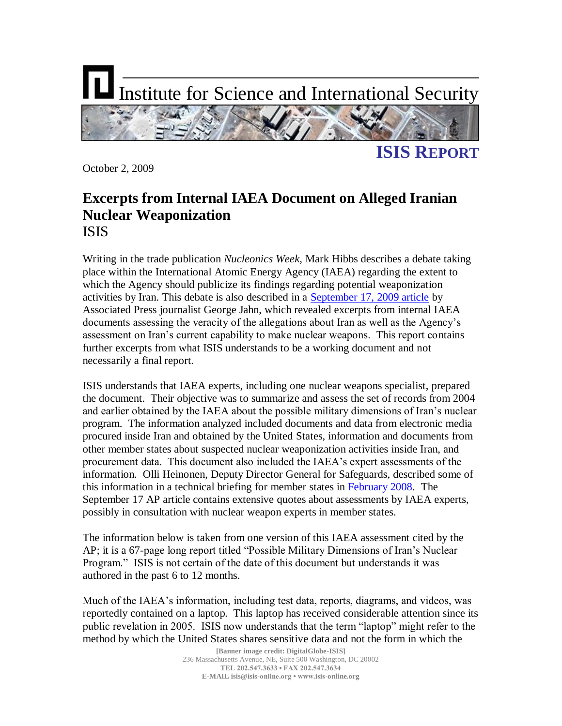

October 2, 2009

# **Excerpts from Internal IAEA Document on Alleged Iranian Nuclear Weaponization** ISIS

Writing in the trade publication *Nucleonics Week*, Mark Hibbs describes a debate taking place within the International Atomic Energy Agency (IAEA) regarding the extent to which the Agency should publicize its findings regarding potential weaponization activities by Iran. This debate is also described in a [September 17, 2009 article](http://news.yahoo.com/s/ap/20090917/ap_on_re_eu/eu_iran_nuclear) by Associated Press journalist George Jahn, which revealed excerpts from internal IAEA documents assessing the veracity of the allegations about Iran as well as the Agency"s assessment on Iran"s current capability to make nuclear weapons. This report contains further excerpts from what ISIS understands to be a working document and not necessarily a final report.

ISIS understands that IAEA experts, including one nuclear weapons specialist, prepared the document. Their objective was to summarize and assess the set of records from 2004 and earlier obtained by the IAEA about the possible military dimensions of Iran"s nuclear program. The information analyzed included documents and data from electronic media procured inside Iran and obtained by the United States, information and documents from other member states about suspected nuclear weaponization activities inside Iran, and procurement data. This document also included the IAEA"s expert assessments of the information. Olli Heinonen, Deputy Director General for Safeguards, described some of this information in a technical briefing for member states in [February 2008.](http://www.isisnucleariran.org/assets/pdf/IAEA_Briefing_Weaponization.pdf) The September 17 AP article contains extensive quotes about assessments by IAEA experts, possibly in consultation with nuclear weapon experts in member states.

The information below is taken from one version of this IAEA assessment cited by the AP; it is a 67-page long report titled "Possible Military Dimensions of Iran"s Nuclear Program." ISIS is not certain of the date of this document but understands it was authored in the past 6 to 12 months.

Much of the IAEA"s information, including test data, reports, diagrams, and videos, was reportedly contained on a laptop. This laptop has received considerable attention since its public revelation in 2005. ISIS now understands that the term "laptop" might refer to the method by which the United States shares sensitive data and not the form in which the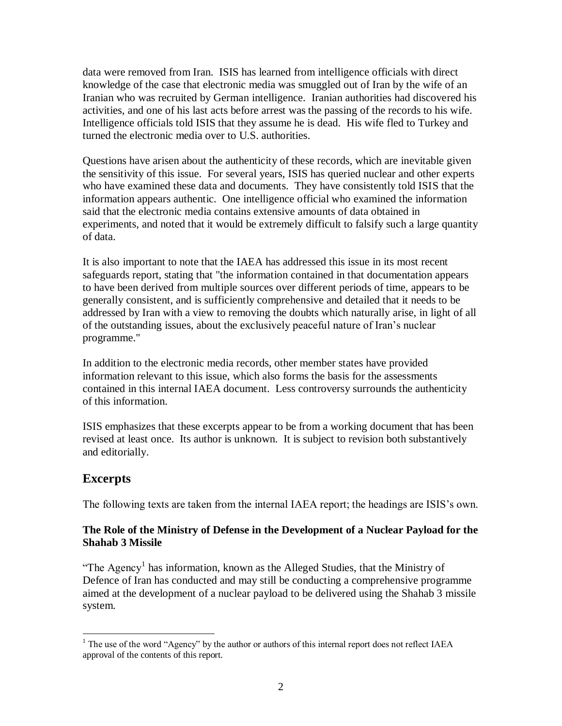data were removed from Iran. ISIS has learned from intelligence officials with direct knowledge of the case that electronic media was smuggled out of Iran by the wife of an Iranian who was recruited by German intelligence. Iranian authorities had discovered his activities, and one of his last acts before arrest was the passing of the records to his wife. Intelligence officials told ISIS that they assume he is dead. His wife fled to Turkey and turned the electronic media over to U.S. authorities.

Questions have arisen about the authenticity of these records, which are inevitable given the sensitivity of this issue. For several years, ISIS has queried nuclear and other experts who have examined these data and documents. They have consistently told ISIS that the information appears authentic. One intelligence official who examined the information said that the electronic media contains extensive amounts of data obtained in experiments, and noted that it would be extremely difficult to falsify such a large quantity of data.

It is also important to note that the IAEA has addressed this issue in its most recent safeguards report, stating that "the information contained in that documentation appears to have been derived from multiple sources over different periods of time, appears to be generally consistent, and is sufficiently comprehensive and detailed that it needs to be addressed by Iran with a view to removing the doubts which naturally arise, in light of all of the outstanding issues, about the exclusively peaceful nature of Iran"s nuclear programme."

In addition to the electronic media records, other member states have provided information relevant to this issue, which also forms the basis for the assessments contained in this internal IAEA document. Less controversy surrounds the authenticity of this information.

ISIS emphasizes that these excerpts appear to be from a working document that has been revised at least once. Its author is unknown. It is subject to revision both substantively and editorially.

# **Excerpts**

The following texts are taken from the internal IAEA report; the headings are ISIS"s own.

## **The Role of the Ministry of Defense in the Development of a Nuclear Payload for the Shahab 3 Missile**

"The Agency<sup>1</sup> has information, known as the Alleged Studies, that the Ministry of Defence of Iran has conducted and may still be conducting a comprehensive programme aimed at the development of a nuclear payload to be delivered using the Shahab 3 missile system.

 $\overline{a}$  $<sup>1</sup>$  The use of the word "Agency" by the author or authors of this internal report does not reflect IAEA</sup> approval of the contents of this report.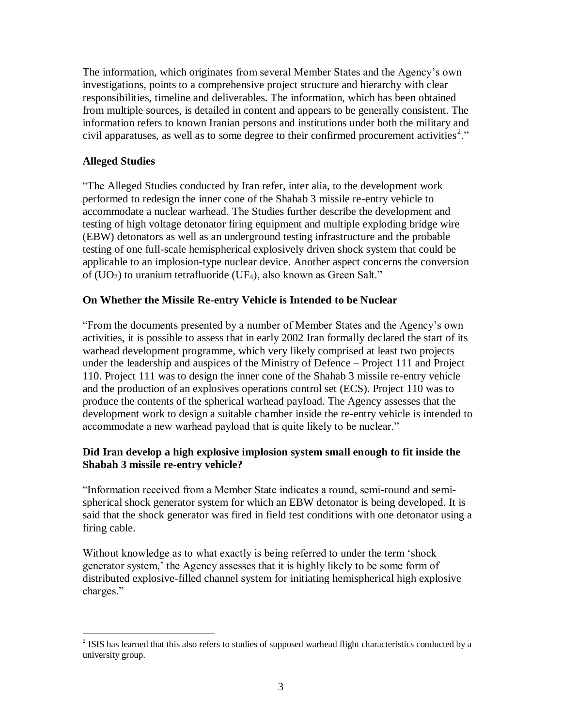The information, which originates from several Member States and the Agency"s own investigations, points to a comprehensive project structure and hierarchy with clear responsibilities, timeline and deliverables. The information, which has been obtained from multiple sources, is detailed in content and appears to be generally consistent. The information refers to known Iranian persons and institutions under both the military and civil apparatuses, as well as to some degree to their confirmed procurement activities<sup>2</sup>."

#### **Alleged Studies**

"The Alleged Studies conducted by Iran refer, inter alia, to the development work performed to redesign the inner cone of the Shahab 3 missile re-entry vehicle to accommodate a nuclear warhead. The Studies further describe the development and testing of high voltage detonator firing equipment and multiple exploding bridge wire (EBW) detonators as well as an underground testing infrastructure and the probable testing of one full-scale hemispherical explosively driven shock system that could be applicable to an implosion-type nuclear device. Another aspect concerns the conversion of  $(UO<sub>2</sub>)$  to uranium tetrafluoride  $(UF<sub>4</sub>)$ , also known as Green Salt."

#### **On Whether the Missile Re-entry Vehicle is Intended to be Nuclear**

"From the documents presented by a number of Member States and the Agency"s own activities, it is possible to assess that in early 2002 Iran formally declared the start of its warhead development programme, which very likely comprised at least two projects under the leadership and auspices of the Ministry of Defence – Project 111 and Project 110. Project 111 was to design the inner cone of the Shahab 3 missile re-entry vehicle and the production of an explosives operations control set (ECS). Project 110 was to produce the contents of the spherical warhead payload. The Agency assesses that the development work to design a suitable chamber inside the re-entry vehicle is intended to accommodate a new warhead payload that is quite likely to be nuclear."

## **Did Iran develop a high explosive implosion system small enough to fit inside the Shabah 3 missile re-entry vehicle?**

"Information received from a Member State indicates a round, semi-round and semispherical shock generator system for which an EBW detonator is being developed. It is said that the shock generator was fired in field test conditions with one detonator using a firing cable.

Without knowledge as to what exactly is being referred to under the term "shock generator system,' the Agency assesses that it is highly likely to be some form of distributed explosive-filled channel system for initiating hemispherical high explosive charges."

<sup>&</sup>lt;sup>2</sup> ISIS has learned that this also refers to studies of supposed warhead flight characteristics conducted by a university group.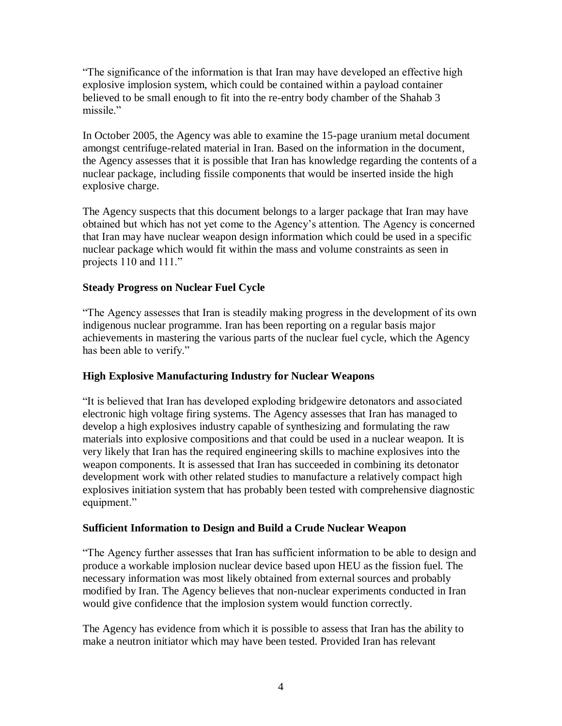"The significance of the information is that Iran may have developed an effective high explosive implosion system, which could be contained within a payload container believed to be small enough to fit into the re-entry body chamber of the Shahab 3 missile."

In October 2005, the Agency was able to examine the 15-page uranium metal document amongst centrifuge-related material in Iran. Based on the information in the document, the Agency assesses that it is possible that Iran has knowledge regarding the contents of a nuclear package, including fissile components that would be inserted inside the high explosive charge.

The Agency suspects that this document belongs to a larger package that Iran may have obtained but which has not yet come to the Agency"s attention. The Agency is concerned that Iran may have nuclear weapon design information which could be used in a specific nuclear package which would fit within the mass and volume constraints as seen in projects 110 and 111."

# **Steady Progress on Nuclear Fuel Cycle**

"The Agency assesses that Iran is steadily making progress in the development of its own indigenous nuclear programme. Iran has been reporting on a regular basis major achievements in mastering the various parts of the nuclear fuel cycle, which the Agency has been able to verify."

## **High Explosive Manufacturing Industry for Nuclear Weapons**

"It is believed that Iran has developed exploding bridgewire detonators and associated electronic high voltage firing systems. The Agency assesses that Iran has managed to develop a high explosives industry capable of synthesizing and formulating the raw materials into explosive compositions and that could be used in a nuclear weapon. It is very likely that Iran has the required engineering skills to machine explosives into the weapon components. It is assessed that Iran has succeeded in combining its detonator development work with other related studies to manufacture a relatively compact high explosives initiation system that has probably been tested with comprehensive diagnostic equipment."

## **Sufficient Information to Design and Build a Crude Nuclear Weapon**

"The Agency further assesses that Iran has sufficient information to be able to design and produce a workable implosion nuclear device based upon HEU as the fission fuel. The necessary information was most likely obtained from external sources and probably modified by Iran. The Agency believes that non-nuclear experiments conducted in Iran would give confidence that the implosion system would function correctly.

The Agency has evidence from which it is possible to assess that Iran has the ability to make a neutron initiator which may have been tested. Provided Iran has relevant